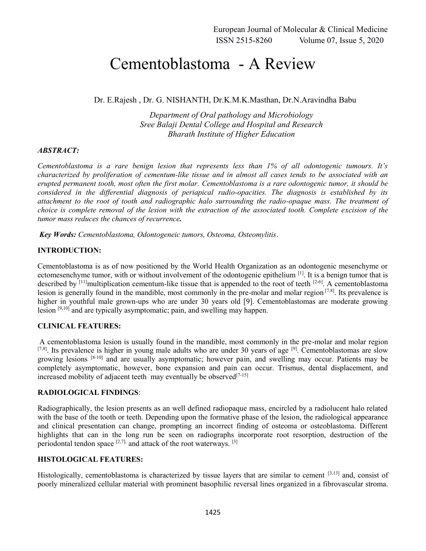# Cementoblastoma - A Review

Dr. E.Rajesh , Dr. G. NISHANTH, Dr.K.M.K.Masthan, Dr.N.Aravindha Babu

*Department of Oral pathology and Microbiology Sree Balaji Dental College and Hospital and Research Bharath Institute of Higher Education*

#### *ABSTRACT:*

*Cementoblastoma is a rare benign lesion that represents less than 1% of all odontogenic tumours. It's characterized by proliferation of cementum-like tissue and in almost all cases tends to be associated with an erupted permanent tooth, most often the first molar. Cementoblastoma is a rare odontogenic tumor, it should be considered in the differential diagnosis of periapical radio-opacities. The diagnosis is established by its attachment to the root of tooth and radiographic halo surrounding the radio-opaque mass. The treatment of choice is complete removal of the lesion with the extraction of the associated tooth. Complete excision of the tumor mass reduces the chances of recurrence.*

*Key Words: Cementoblastoma, Odontogeneic tumors, Osteoma, Osteomylitis*.

## **INTRODUCTION:**

Cementoblastoma is as of now positioned by the World Health Organization as an odontogenic mesenchyme or ectomesenchyme tumor, with or without involvement of the odontogenic epithelium <sup>[1]</sup>. It is a benign tumor that is described by  $[11]$ multiplication cementum-like tissue that is appended to the root of teeth  $[2-6]$ . A cementoblastoma lesion is generally found in the mandible, most commonly in the pre-molar and molar region [7,8]. Its prevalence is higher in youthful male grown-ups who are under 30 years old [9]. Cementoblastomas are moderate growing lesion [9,10] and are typically asymptomatic; pain, and swelling may happen.

## **CLINICAL FEATURES:**

A cementoblastoma lesion is usually found in the mandible, most commonly in the pre-molar and molar region  $^{[7,8]}$ . Its prevalence is higher in young male adults who are under 30 years of age  $^{[9]}$ . Cementoblastomas are slow growing lesions [8-10] and are usually asymptomatic; however pain, and swelling may occur. Patients may be completely asymptomatic, however, bone expansion and pain can occur. Trismus, dental displacement, and increased mobility of adjacent teeth may eventually be observed  $[7-15]$ 

#### **RADIOLOGICAL FINDINGS**:

Radiographically, the lesion presents as an well defined radiopaque mass, encircled by a radiolucent halo related with the base of the tooth or teeth. Depending upon the formative phase of the lesion, the radiological appearance and clinical presentation can change, prompting an incorrect finding of osteoma or osteoblastoma. Different highlights that can in the long run be seen on radiographs incorporate root resorption, destruction of the periodontal tendon space  $[2,7]$ , and attack of the root waterways.  $[3]$ 

## **HISTOLOGICAL FEATURES:**

Histologically, cementoblastoma is characterized by tissue layers that are similar to cement [3,13] and, consist of poorly mineralized cellular material with prominent basophilic reversal lines organized in a fibrovascular stroma.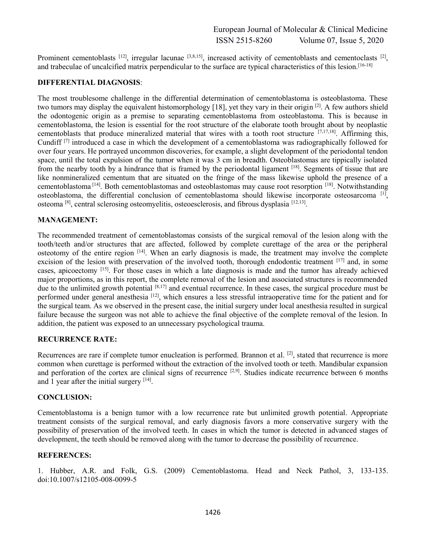Prominent cementoblasts [12], irregular lacunae [3,8,15], increased activity of cementoblasts and cementoclasts [2], and trabeculae of uncalcified matrix perpendicular to the surface are typical characteristics of this lesion.<sup>[16-18]</sup>

#### **DIFFERENTIAL DIAGNOSIS**:

The most troublesome challenge in the differential determination of cementoblastoma is osteoblastoma. These two tumors may display the equivalent histomorphology [18], yet they vary in their origin <sup>[2]</sup>. A few authors shield the odontogenic origin as a premise to separating cementoblastoma from osteoblastoma. This is because in cementoblastoma, the lesion is essential for the root structure of the elaborate tooth brought about by neoplastic cementoblasts that produce mineralized material that wires with a tooth root structure  $[7,17,18]$ . Affirming this, Cundiff [7] introduced a case in which the development of a cementoblastoma was radiographically followed for over four years. He portrayed uncommon discoveries, for example, a slight development of the periodontal tendon space, until the total expulsion of the tumor when it was 3 cm in breadth. Osteoblastomas are tippically isolated from the nearby tooth by a hindrance that is framed by the periodontal ligament [18]. Segments of tissue that are like nonmineralized cementum that are situated on the fringe of the mass likewise uphold the presence of a cementoblastoma [14]. Both cementoblastomas and osteoblastomas may cause root resorption [18]. Notwithstanding osteoblastoma, the differential conclusion of cementoblastoma should likewise incorporate osteosarcoma [1], osteoma  $[8]$ , central sclerosing osteomyelitis, osteoesclerosis, and fibrous dysplasia  $[12,13]$ .

### **MANAGEMENT:**

The recommended treatment of cementoblastomas consists of the surgical removal of the lesion along with the tooth/teeth and/or structures that are affected, followed by complete curettage of the area or the peripheral osteotomy of the entire region [14]. When an early diagnosis is made, the treatment may involve the complete excision of the lesion with preservation of the involved tooth, thorough endodontic treatment [17] and, in some cases, apicoectomy [15]. For those cases in which a late diagnosis is made and the tumor has already achieved major proportions, as in this report, the complete removal of the lesion and associated structures is recommended due to the unlimited growth potential [8,17] and eventual recurrence. In these cases, the surgical procedure must be performed under general anesthesia  $^{[12]}$ , which ensures a less stressful intraoperative time for the patient and for the surgical team. As we observed in the present case, the initial surgery under local anesthesia resulted in surgical failure because the surgeon was not able to achieve the final objective of the complete removal of the lesion. In addition, the patient was exposed to an unnecessary psychological trauma.

#### **RECURRENCE RATE:**

Recurrences are rare if complete tumor enucleation is performed. Brannon et al.  $^{[2]}$ , stated that recurrence is more common when curettage is performed without the extraction of the involved tooth or teeth. Mandibular expansion and perforation of the cortex are clinical signs of recurrence  $[2,9]$ . Studies indicate recurrence between 6 months and 1 year after the initial surgery [14].

#### **CONCLUSION:**

Cementoblastoma is a benign tumor with a low recurrence rate but unlimited growth potential. Appropriate treatment consists of the surgical removal, and early diagnosis favors a more conservative surgery with the possibility of preservation of the involved teeth. In cases in which the tumor is detected in advanced stages of development, the teeth should be removed along with the tumor to decrease the possibility of recurrence.

#### **REFERENCES:**

1. Hubber, A.R. and Folk, G.S. (2009) Cementoblastoma. Head and Neck Pathol, 3, 133-135. doi:10.1007/s12105-008-0099-5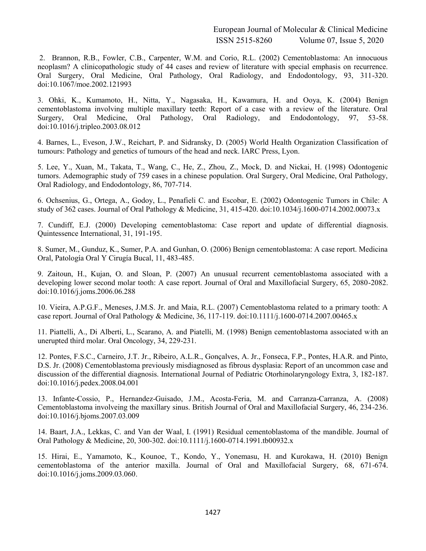European Journal of Molecular & Clinical Medicine ISSN 2515-8260 Volume 07, Issue 5, 2020

2. Brannon, R.B., Fowler, C.B., Carpenter, W.M. and Corio, R.L. (2002) Cementoblastoma: An innocuous neoplasm? A clinicopathologic study of 44 cases and review of literature with special emphasis on recurrence. Oral Surgery, Oral Medicine, Oral Pathology, Oral Radiology, and Endodontology, 93, 311-320. doi:10.1067/moe.2002.121993

3. Ohki, K., Kumamoto, H., Nitta, Y., Nagasaka, H., Kawamura, H. and Ooya, K. (2004) Benign cementoblastoma involving multiple maxillary teeth: Report of a case with a review of the literature. Oral Surgery, Oral Medicine, Oral Pathology, Oral Radiology, and Endodontology, 97, 53-58. doi:10.1016/j.tripleo.2003.08.012

4. Barnes, L., Eveson, J.W., Reichart, P. and Sidransky, D. (2005) World Health Organization Classification of tumours: Pathology and genetics of tumours of the head and neck. IARC Press, Lyon.

5. Lee, Y., Xuan, M., Takata, T., Wang, C., He, Z., Zhou, Z., Mock, D. and Nickai, H. (1998) Odontogenic tumors. Ademographic study of 759 cases in a chinese population. Oral Surgery, Oral Medicine, Oral Pathology, Oral Radiology, and Endodontology, 86, 707-714.

6. Ochsenius, G., Ortega, A., Godoy, L., Penafieli C. and Escobar, E. (2002) Odontogenic Tumors in Chile: A study of 362 cases. Journal of Oral Pathology & Medicine, 31, 415-420. doi:10.1034/j.1600-0714.2002.00073.x

7. Cundiff, E.J. (2000) Developing cementoblastoma: Case report and update of differential diagnosis. Quintessence International, 31, 191-195.

8. Sumer, M., Gunduz, K., Sumer, P.A. and Gunhan, O. (2006) Benign cementoblastoma: A case report. Medicina Oral, Patología Oral Y Cirugía Bucal, 11, 483-485.

9. Zaitoun, H., Kujan, O. and Sloan, P. (2007) An unusual recurrent cementoblastoma associated with a developing lower second molar tooth: A case report. Journal of Oral and Maxillofacial Surgery, 65, 2080-2082. doi:10.1016/j.joms.2006.06.288

10. Vieira, A.P.G.F., Meneses, J.M.S. Jr. and Maia, R.L. (2007) Cementoblastoma related to a primary tooth: A case report. Journal of Oral Pathology & Medicine, 36, 117-119. doi:10.1111/j.1600-0714.2007.00465.x

11. Piattelli, A., Di Alberti, L., Scarano, A. and Piatelli, M. (1998) Benign cementoblastoma associated with an unerupted third molar. Oral Oncology, 34, 229-231.

12. Pontes, F.S.C., Carneiro, J.T. Jr., Ribeiro, A.L.R., Gonçalves, A. Jr., Fonseca, F.P., Pontes, H.A.R. and Pinto, D.S. Jr. (2008) Cementoblastoma previously misdiagnosed as fibrous dysplasia: Report of an uncommon case and discussion of the differential diagnosis. International Journal of Pediatric Otorhinolaryngology Extra, 3, 182-187. doi:10.1016/j.pedex.2008.04.001

13. Infante-Cossio, P., Hernandez-Guisado, J.M., Acosta-Feria, M. and Carranza-Carranza, A. (2008) Cementoblastoma involveing the maxillary sinus. British Journal of Oral and Maxillofacial Surgery, 46, 234-236. doi:10.1016/j.bjoms.2007.03.009

14. Baart, J.A., Lekkas, C. and Van der Waal, I. (1991) Residual cementoblastoma of the mandible. Journal of Oral Pathology & Medicine, 20, 300-302. doi:10.1111/j.1600-0714.1991.tb00932.x

15. Hirai, E., Yamamoto, K., Kounoe, T., Kondo, Y., Yonemasu, H. and Kurokawa, H. (2010) Benign cementoblastoma of the anterior maxilla. Journal of Oral and Maxillofacial Surgery, 68, 671-674. doi:10.1016/j.joms.2009.03.060.